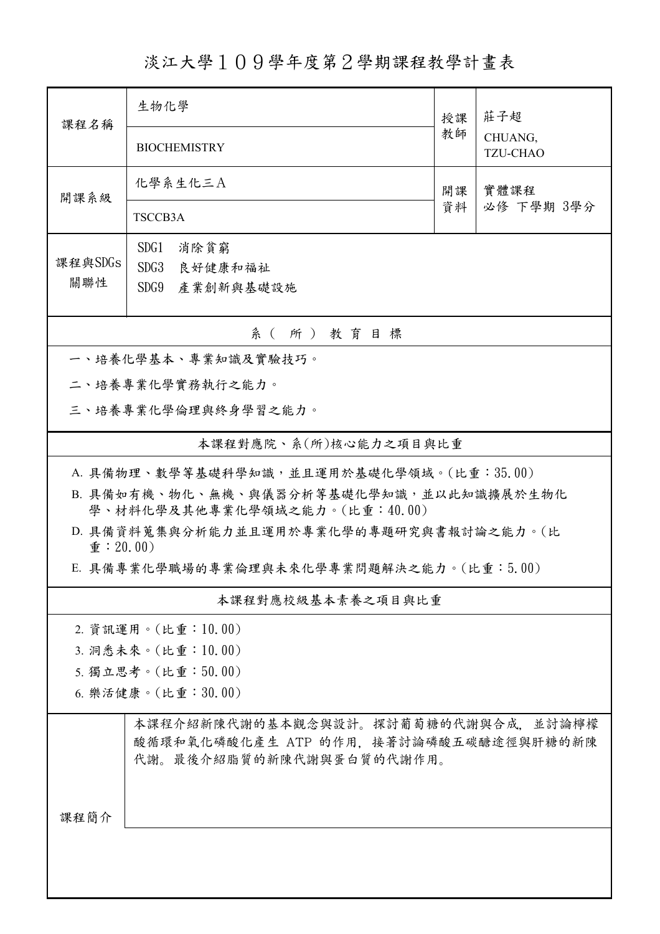淡江大學109學年度第2學期課程教學計畫表

| 課程名稱                                                                       | 生物化學                                                                                                     |          | 莊子超                        |  |  |  |  |
|----------------------------------------------------------------------------|----------------------------------------------------------------------------------------------------------|----------|----------------------------|--|--|--|--|
|                                                                            | <b>BIOCHEMISTRY</b>                                                                                      | 教師       | CHUANG,<br><b>TZU-CHAO</b> |  |  |  |  |
| 開課系級                                                                       | 化學系生化三A                                                                                                  | 開課<br>資料 | 實體課程                       |  |  |  |  |
|                                                                            | TSCCB3A                                                                                                  |          | 必修 下學期 3學分                 |  |  |  |  |
|                                                                            | SDG1<br>消除貧窮                                                                                             |          |                            |  |  |  |  |
| 課程與SDGs<br>關聯性                                                             | SDG3<br>良好健康和福祉                                                                                          |          |                            |  |  |  |  |
|                                                                            | SDG9 產業創新與基礎設施                                                                                           |          |                            |  |  |  |  |
| 系(所)教育目標                                                                   |                                                                                                          |          |                            |  |  |  |  |
|                                                                            | 一、培養化學基本、專業知識及實驗技巧。                                                                                      |          |                            |  |  |  |  |
|                                                                            | 二、培養專業化學實務執行之能力。                                                                                         |          |                            |  |  |  |  |
|                                                                            | 三、培養專業化學倫理與終身學習之能力。                                                                                      |          |                            |  |  |  |  |
|                                                                            | 本課程對應院、系(所)核心能力之項目與比重                                                                                    |          |                            |  |  |  |  |
|                                                                            | A. 具備物理、數學等基礎科學知識,並且運用於基礎化學領域。(比重:35.00)                                                                 |          |                            |  |  |  |  |
| B. 具備如有機、物化、無機、與儀器分析等基礎化學知識,並以此知識擴展於生物化                                    |                                                                                                          |          |                            |  |  |  |  |
| 學、材料化學及其他專業化學領域之能力。(比重:40.00)<br>D. 具備資料蒐集與分析能力並且運用於專業化學的專題研究與書報討論之能力。(比   |                                                                                                          |          |                            |  |  |  |  |
| $\hat{\mathbf{\Psi}}$ : 20.00)<br>E. 具備專業化學職場的專業倫理與未來化學專業問題解決之能力。(比重:5.00) |                                                                                                          |          |                            |  |  |  |  |
|                                                                            | 本課程對應校級基本素養之項目與比重                                                                                        |          |                            |  |  |  |  |
|                                                                            | 2. 資訊運用。(比重:10.00)                                                                                       |          |                            |  |  |  |  |
|                                                                            | 3. 洞悉未來。(比重:10.00)                                                                                       |          |                            |  |  |  |  |
|                                                                            | 5. 獨立思考。(比重:50.00)                                                                                       |          |                            |  |  |  |  |
| 6. 樂活健康。(比重:30.00)                                                         |                                                                                                          |          |                            |  |  |  |  |
|                                                                            | 本課程介紹新陳代謝的基本觀念與設計。探討葡萄糖的代謝與合成,並討論檸檬<br>酸循環和氧化磷酸化產生 ATP 的作用,接著討論磷酸五碳醣途徑與肝糖的新陳<br>代謝。最後介紹脂質的新陳代謝與蛋白質的代謝作用。 |          |                            |  |  |  |  |
|                                                                            |                                                                                                          |          |                            |  |  |  |  |
| 課程簡介                                                                       |                                                                                                          |          |                            |  |  |  |  |
|                                                                            |                                                                                                          |          |                            |  |  |  |  |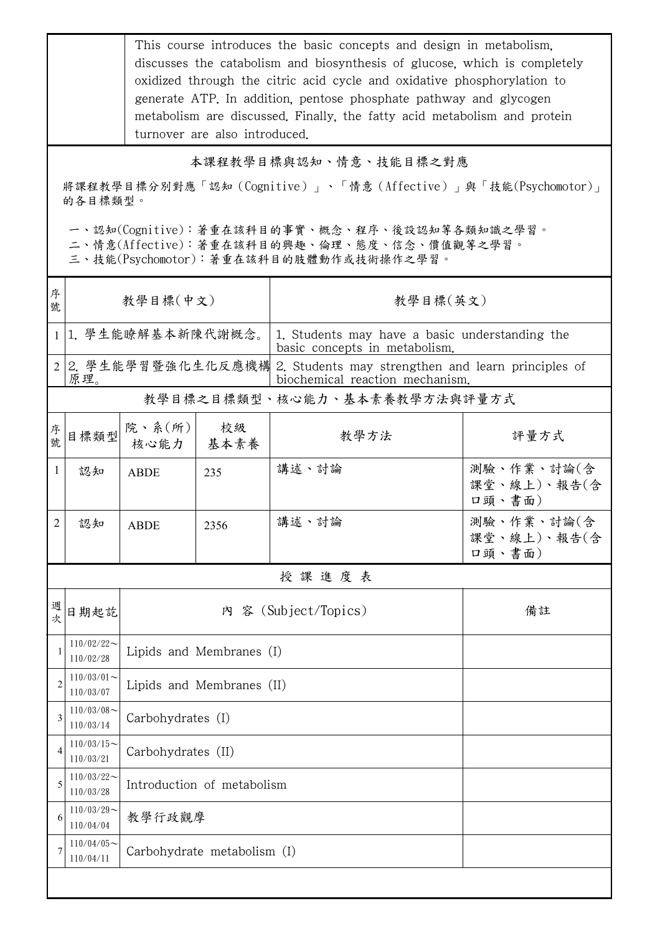This course introduces the basic concepts and design in metabolism, discusses the catabolism and biosynthesis of glucose, which is completely oxidized through the citric acid cycle and oxidative phosphorylation to generate ATP. In addition, pentose phosphate pathway and glycogen metabolism are discussed. Finally, the fatty acid metabolism and protein turnover are also introduced.

本課程教學目標與認知、情意、技能目標之對應

將課程教學目標分別對應「認知(Cognitive)」、「情意(Affective)」與「技能(Psychomotor)」 的各目標類型。

一、認知(Cognitive):著重在該科目的事實、概念、程序、後設認知等各類知識之學習。

二、情意(Affective):著重在該科目的興趣、倫理、態度、信念、價值觀等之學習。

三、技能(Psychomotor):著重在該科目的肢體動作或技術操作之學習。

| 序<br>號                       | 教學目標(中文)                   |                             |            | 教學目標(英文)                                                                                                  |                                     |  |  |
|------------------------------|----------------------------|-----------------------------|------------|-----------------------------------------------------------------------------------------------------------|-------------------------------------|--|--|
|                              | 1 1. 學生能瞭解基本新陳代謝概念。        |                             |            | 1. Students may have a basic understanding the<br>basic concepts in metabolism.                           |                                     |  |  |
|                              | 原理。                        |                             |            | 2 2. 學生能學習暨強化生化反應機構 2. Students may strengthen and learn principles of<br>biochemical reaction mechanism. |                                     |  |  |
| 教學目標之目標類型、核心能力、基本素養教學方法與評量方式 |                            |                             |            |                                                                                                           |                                     |  |  |
| 序號                           | 目標類型                       | 院、系 $(\text{m})$<br>核心能力    | 校級<br>基本素養 | 教學方法                                                                                                      | 評量方式                                |  |  |
| 1                            | 認知                         | <b>ABDE</b>                 | 235        | 講述、討論                                                                                                     | 測驗、作業、討論(含<br>課堂、線上)、報告(含<br>口頭、書面) |  |  |
| 2                            | 認知                         | <b>ABDE</b>                 | 2356       | 講述、討論                                                                                                     | 測驗、作業、討論(含<br>課堂、線上)、報告(含<br>口頭、書面) |  |  |
| 授課進度表                        |                            |                             |            |                                                                                                           |                                     |  |  |
| 週<br>坎                       | 日期起訖                       |                             |            | 內 容 (Subject/Topics)                                                                                      | 備註                                  |  |  |
|                              | $110/02/22$ ~<br>110/02/28 | Lipids and Membranes (I)    |            |                                                                                                           |                                     |  |  |
| $\overline{c}$               | $110/03/01$ ~<br>110/03/07 | Lipids and Membranes (II)   |            |                                                                                                           |                                     |  |  |
| 3                            | $110/03/08$ ~<br>110/03/14 | Carbohydrates (I)           |            |                                                                                                           |                                     |  |  |
|                              | $110/03/15$ ~<br>110/03/21 | Carbohydrates (II)          |            |                                                                                                           |                                     |  |  |
| 5                            | $110/03/22$ ~<br>110/03/28 | Introduction of metabolism  |            |                                                                                                           |                                     |  |  |
| 6                            | $110/03/29$ ~<br>110/04/04 | 教學行政觀摩                      |            |                                                                                                           |                                     |  |  |
|                              | $110/04/05$ ~<br>110/04/11 | Carbohydrate metabolism (I) |            |                                                                                                           |                                     |  |  |
|                              |                            |                             |            |                                                                                                           |                                     |  |  |